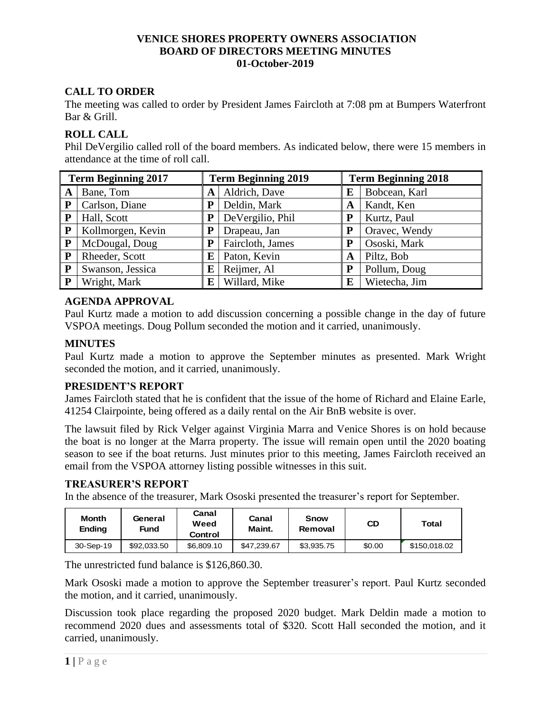# **VENICE SHORES PROPERTY OWNERS ASSOCIATION BOARD OF DIRECTORS MEETING MINUTES 01-October-2019**

# **CALL TO ORDER**

The meeting was called to order by President James Faircloth at 7:08 pm at Bumpers Waterfront Bar & Grill.

# **ROLL CALL**

Phil DeVergilio called roll of the board members. As indicated below, there were 15 members in attendance at the time of roll call.

| <b>Term Beginning 2017</b> |                   | <b>Term Beginning 2019</b> |                  | <b>Term Beginning 2018</b> |               |  |
|----------------------------|-------------------|----------------------------|------------------|----------------------------|---------------|--|
| A                          | Bane, Tom         | A                          | Aldrich, Dave    | E                          | Bobcean, Karl |  |
| P                          | Carlson, Diane    | P                          | Deldin, Mark     | A                          | Kandt, Ken    |  |
| P                          | Hall, Scott       | P                          | DeVergilio, Phil | P                          | Kurtz, Paul   |  |
| ${\bf P}$                  | Kollmorgen, Kevin | P                          | Drapeau, Jan     |                            | Oravec, Wendy |  |
| P                          | McDougal, Doug    | Р                          | Faircloth, James | P                          | Ososki, Mark  |  |
| P                          | Rheeder, Scott    | Е                          | Paton, Kevin     | A                          | Piltz, Bob    |  |
| P                          | Swanson, Jessica  | E                          | Reijmer, Al      | P                          | Pollum, Doug  |  |
| P                          | Wright, Mark      | Е                          | Willard, Mike    | E                          | Wietecha, Jim |  |

# **AGENDA APPROVAL**

Paul Kurtz made a motion to add discussion concerning a possible change in the day of future VSPOA meetings. Doug Pollum seconded the motion and it carried, unanimously.

# **MINUTES**

Paul Kurtz made a motion to approve the September minutes as presented. Mark Wright seconded the motion, and it carried, unanimously.

### **PRESIDENT'S REPORT**

James Faircloth stated that he is confident that the issue of the home of Richard and Elaine Earle, 41254 Clairpointe, being offered as a daily rental on the Air BnB website is over.

The lawsuit filed by Rick Velger against Virginia Marra and Venice Shores is on hold because the boat is no longer at the Marra property. The issue will remain open until the 2020 boating season to see if the boat returns. Just minutes prior to this meeting, James Faircloth received an email from the VSPOA attorney listing possible witnesses in this suit.

### **TREASURER'S REPORT**

In the absence of the treasurer, Mark Ososki presented the treasurer's report for September.

| Month<br><b>Ending</b> | General<br>Fund | Canal<br>Weed<br>Control | Canal<br>Maint. | <b>Snow</b><br>Removal | CD     | Total        |
|------------------------|-----------------|--------------------------|-----------------|------------------------|--------|--------------|
| 30-Sep-19              | \$92,033.50     | \$6,809.10               | \$47.239.67     | \$3.935.75             | \$0.00 | \$150.018.02 |

The unrestricted fund balance is \$126,860.30.

Mark Ososki made a motion to approve the September treasurer's report. Paul Kurtz seconded the motion, and it carried, unanimously.

Discussion took place regarding the proposed 2020 budget. Mark Deldin made a motion to recommend 2020 dues and assessments total of \$320. Scott Hall seconded the motion, and it carried, unanimously.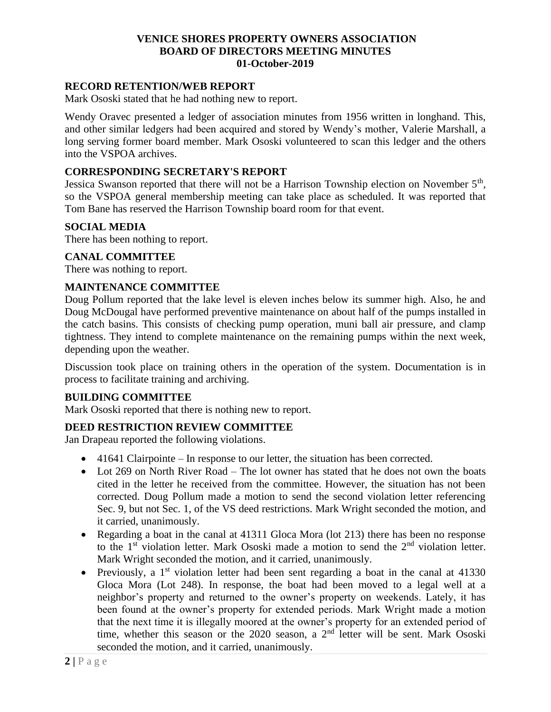## **VENICE SHORES PROPERTY OWNERS ASSOCIATION BOARD OF DIRECTORS MEETING MINUTES 01-October-2019**

#### **RECORD RETENTION/WEB REPORT**

Mark Ososki stated that he had nothing new to report.

Wendy Oravec presented a ledger of association minutes from 1956 written in longhand. This, and other similar ledgers had been acquired and stored by Wendy's mother, Valerie Marshall, a long serving former board member. Mark Ososki volunteered to scan this ledger and the others into the VSPOA archives.

#### **CORRESPONDING SECRETARY'S REPORT**

Jessica Swanson reported that there will not be a Harrison Township election on November  $5<sup>th</sup>$ , so the VSPOA general membership meeting can take place as scheduled. It was reported that Tom Bane has reserved the Harrison Township board room for that event.

#### **SOCIAL MEDIA**

There has been nothing to report.

#### **CANAL COMMITTEE**

There was nothing to report.

#### **MAINTENANCE COMMITTEE**

Doug Pollum reported that the lake level is eleven inches below its summer high. Also, he and Doug McDougal have performed preventive maintenance on about half of the pumps installed in the catch basins. This consists of checking pump operation, muni ball air pressure, and clamp tightness. They intend to complete maintenance on the remaining pumps within the next week, depending upon the weather.

Discussion took place on training others in the operation of the system. Documentation is in process to facilitate training and archiving.

### **BUILDING COMMITTEE**

Mark Ososki reported that there is nothing new to report.

#### **DEED RESTRICTION REVIEW COMMITTEE**

Jan Drapeau reported the following violations.

- 41641 Clairpointe In response to our letter, the situation has been corrected.
- Lot 269 on North River Road The lot owner has stated that he does not own the boats cited in the letter he received from the committee. However, the situation has not been corrected. Doug Pollum made a motion to send the second violation letter referencing Sec. 9, but not Sec. 1, of the VS deed restrictions. Mark Wright seconded the motion, and it carried, unanimously.
- Regarding a boat in the canal at 41311 Gloca Mora (lot 213) there has been no response to the 1<sup>st</sup> violation letter. Mark Ososki made a motion to send the 2<sup>nd</sup> violation letter. Mark Wright seconded the motion, and it carried, unanimously.
- Previously, a 1<sup>st</sup> violation letter had been sent regarding a boat in the canal at  $41330$ Gloca Mora (Lot 248). In response, the boat had been moved to a legal well at a neighbor's property and returned to the owner's property on weekends. Lately, it has been found at the owner's property for extended periods. Mark Wright made a motion that the next time it is illegally moored at the owner's property for an extended period of time, whether this season or the 2020 season, a 2<sup>nd</sup> letter will be sent. Mark Ososki seconded the motion, and it carried, unanimously.